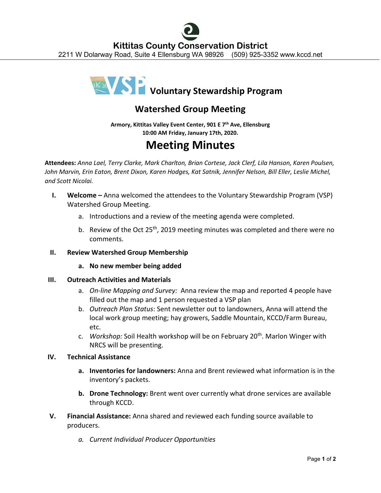

# **Watershed Group Meeting**

**Armory, Kittitas Valley Event Center, 901 E 7th Ave, Ellensburg 10:00 AM Friday, January 17th, 2020.**

# **Meeting Minutes**

**Attendees:** *Anna Lael, Terry Clarke, Mark Charlton, Brian Cortese, Jack Clerf, Lila Hanson, Karen Poulsen, John Marvin, Erin Eaton, Brent Dixon, Karen Hodges, Kat Satnik, Jennifer Nelson, Bill Eller, Leslie Michel, and Scott Nicolai.*

- **I. Welcome** Anna welcomed the attendees to the Voluntary Stewardship Program (VSP) Watershed Group Meeting.
	- a. Introductions and a review of the meeting agenda were completed.
	- b. Review of the Oct 25<sup>th</sup>, 2019 meeting minutes was completed and there were no comments.

# **II. Review Watershed Group Membership**

**a. No new member being added**

# **III. Outreach Activities and Materials**

- a. *On-line Mapping and Survey:* Anna review the map and reported 4 people have filled out the map and 1 person requested a VSP plan
- b. *Outreach Plan Status*: Sent newsletter out to landowners, Anna will attend the local work group meeting; hay growers, Saddle Mountain, KCCD/Farm Bureau, etc.
- c. *Workshop:* Soil Health workshop will be on February 20th. Marlon Winger with NRCS will be presenting.

# **IV. Technical Assistance**

- **a. Inventories for landowners:** Anna and Brent reviewed what information is in the inventory's packets.
- **b. Drone Technology:** Brent went over currently what drone services are available through KCCD.
- **V. Financial Assistance:** Anna shared and reviewed each funding source available to producers.
	- *a. Current Individual Producer Opportunities*